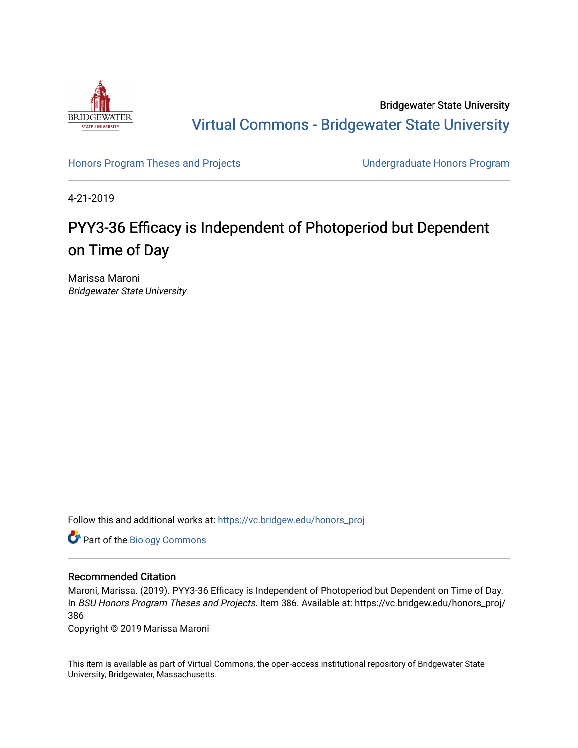

Bridgewater State University [Virtual Commons - Bridgewater State University](https://vc.bridgew.edu/) 

[Honors Program Theses and Projects](https://vc.bridgew.edu/honors_proj) [Undergraduate Honors Program](https://vc.bridgew.edu/honors) 

4-21-2019

# PYY3-36 Efficacy is Independent of Photoperiod but Dependent on Time of Day

Marissa Maroni Bridgewater State University

Follow this and additional works at: [https://vc.bridgew.edu/honors\\_proj](https://vc.bridgew.edu/honors_proj?utm_source=vc.bridgew.edu%2Fhonors_proj%2F386&utm_medium=PDF&utm_campaign=PDFCoverPages)

Part of the [Biology Commons](http://network.bepress.com/hgg/discipline/41?utm_source=vc.bridgew.edu%2Fhonors_proj%2F386&utm_medium=PDF&utm_campaign=PDFCoverPages) 

# Recommended Citation

Maroni, Marissa. (2019). PYY3-36 Efficacy is Independent of Photoperiod but Dependent on Time of Day. In BSU Honors Program Theses and Projects. Item 386. Available at: https://vc.bridgew.edu/honors\_proj/ 386

Copyright © 2019 Marissa Maroni

This item is available as part of Virtual Commons, the open-access institutional repository of Bridgewater State University, Bridgewater, Massachusetts.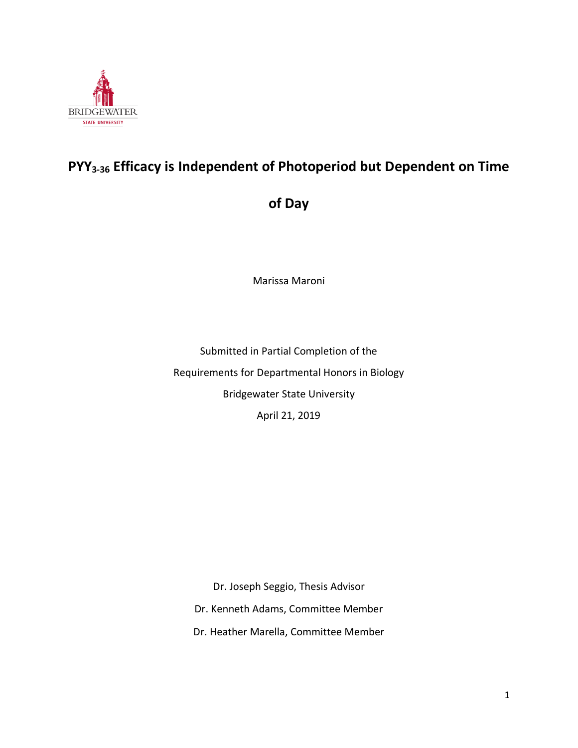

# **PYY3-36 Efficacy is Independent of Photoperiod but Dependent on Time**

**of Day**

Marissa Maroni

Submitted in Partial Completion of the Requirements for Departmental Honors in Biology Bridgewater State University April 21, 2019

Dr. Joseph Seggio, Thesis Advisor

Dr. Kenneth Adams, Committee Member

Dr. Heather Marella, Committee Member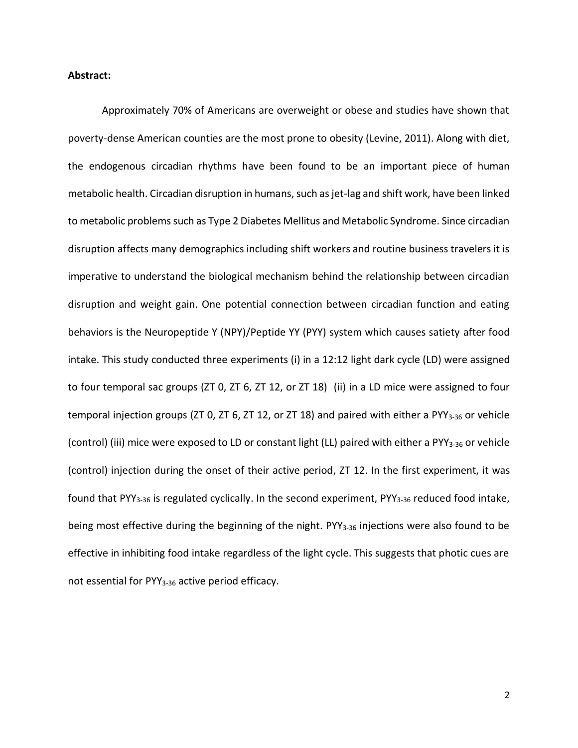# **Abstract:**

Approximately 70% of Americans are overweight or obese and studies have shown that poverty-dense American counties are the most prone to obesity (Levine, 2011). Along with diet, the endogenous circadian rhythms have been found to be an important piece of human metabolic health. Circadian disruption in humans, such as jet-lag and shift work, have been linked to metabolic problems such as Type 2 Diabetes Mellitus and Metabolic Syndrome. Since circadian disruption affects many demographics including shift workers and routine business travelers it is imperative to understand the biological mechanism behind the relationship between circadian disruption and weight gain. One potential connection between circadian function and eating behaviors is the Neuropeptide Y (NPY)/Peptide YY (PYY) system which causes satiety after food intake. This study conducted three experiments (i) in a 12:12 light dark cycle (LD) were assigned to four temporal sac groups (ZT 0, ZT 6, ZT 12, or ZT 18) (ii) in a LD mice were assigned to four temporal injection groups (ZT 0, ZT 6, ZT 12, or ZT 18) and paired with either a PYY<sub>3-36</sub> or vehicle (control) (iii) mice were exposed to LD or constant light (LL) paired with either a PYY<sub>3-36</sub> or vehicle (control) injection during the onset of their active period, ZT 12. In the first experiment, it was found that PYY<sub>3-36</sub> is regulated cyclically. In the second experiment, PYY<sub>3-36</sub> reduced food intake, being most effective during the beginning of the night. PYY<sub>3-36</sub> injections were also found to be effective in inhibiting food intake regardless of the light cycle. This suggests that photic cues are not essential for PYY<sub>3-36</sub> active period efficacy.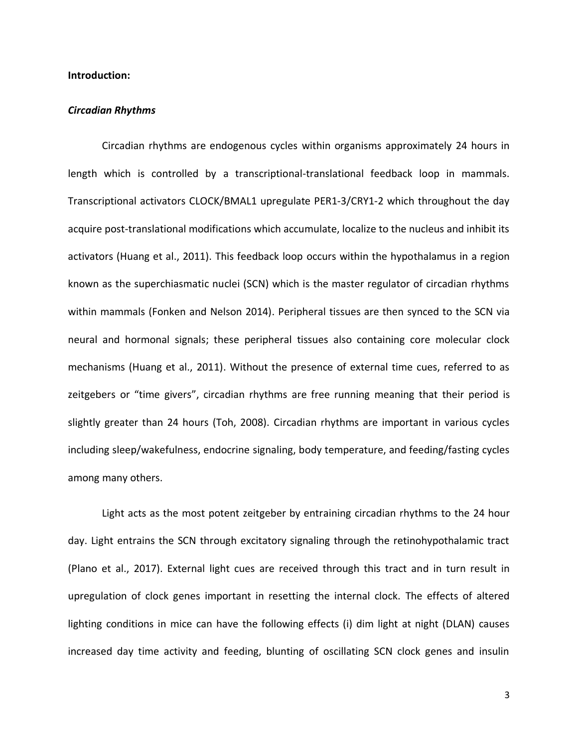# **Introduction:**

#### *Circadian Rhythms*

Circadian rhythms are endogenous cycles within organisms approximately 24 hours in length which is controlled by a transcriptional-translational feedback loop in mammals. Transcriptional activators CLOCK/BMAL1 upregulate PER1-3/CRY1-2 which throughout the day acquire post-translational modifications which accumulate, localize to the nucleus and inhibit its activators (Huang et al., 2011). This feedback loop occurs within the hypothalamus in a region known as the superchiasmatic nuclei (SCN) which is the master regulator of circadian rhythms within mammals (Fonken and Nelson 2014). Peripheral tissues are then synced to the SCN via neural and hormonal signals; these peripheral tissues also containing core molecular clock mechanisms (Huang et al., 2011). Without the presence of external time cues, referred to as zeitgebers or "time givers", circadian rhythms are free running meaning that their period is slightly greater than 24 hours (Toh, 2008). Circadian rhythms are important in various cycles including sleep/wakefulness, endocrine signaling, body temperature, and feeding/fasting cycles among many others.

Light acts as the most potent zeitgeber by entraining circadian rhythms to the 24 hour day. Light entrains the SCN through excitatory signaling through the retinohypothalamic tract (Plano et al., 2017). External light cues are received through this tract and in turn result in upregulation of clock genes important in resetting the internal clock. The effects of altered lighting conditions in mice can have the following effects (i) dim light at night (DLAN) causes increased day time activity and feeding, blunting of oscillating SCN clock genes and insulin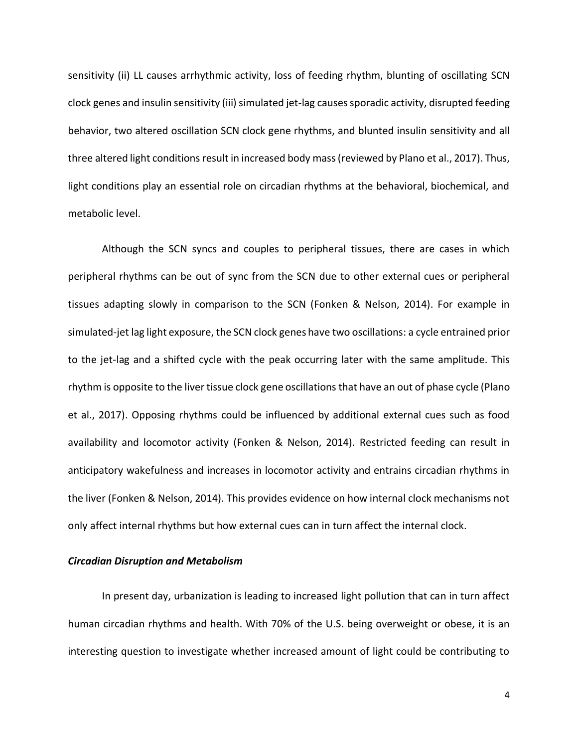sensitivity (ii) LL causes arrhythmic activity, loss of feeding rhythm, blunting of oscillating SCN clock genes and insulin sensitivity (iii) simulated jet-lag causes sporadic activity, disrupted feeding behavior, two altered oscillation SCN clock gene rhythms, and blunted insulin sensitivity and all three altered light conditions result in increased body mass (reviewed by Plano et al., 2017). Thus, light conditions play an essential role on circadian rhythms at the behavioral, biochemical, and metabolic level.

Although the SCN syncs and couples to peripheral tissues, there are cases in which peripheral rhythms can be out of sync from the SCN due to other external cues or peripheral tissues adapting slowly in comparison to the SCN (Fonken & Nelson, 2014). For example in simulated-jet lag light exposure, the SCN clock genes have two oscillations: a cycle entrained prior to the jet-lag and a shifted cycle with the peak occurring later with the same amplitude. This rhythm is opposite to the liver tissue clock gene oscillations that have an out of phase cycle (Plano et al., 2017). Opposing rhythms could be influenced by additional external cues such as food availability and locomotor activity (Fonken & Nelson, 2014). Restricted feeding can result in anticipatory wakefulness and increases in locomotor activity and entrains circadian rhythms in the liver (Fonken & Nelson, 2014). This provides evidence on how internal clock mechanisms not only affect internal rhythms but how external cues can in turn affect the internal clock.

# *Circadian Disruption and Metabolism*

In present day, urbanization is leading to increased light pollution that can in turn affect human circadian rhythms and health. With 70% of the U.S. being overweight or obese, it is an interesting question to investigate whether increased amount of light could be contributing to

4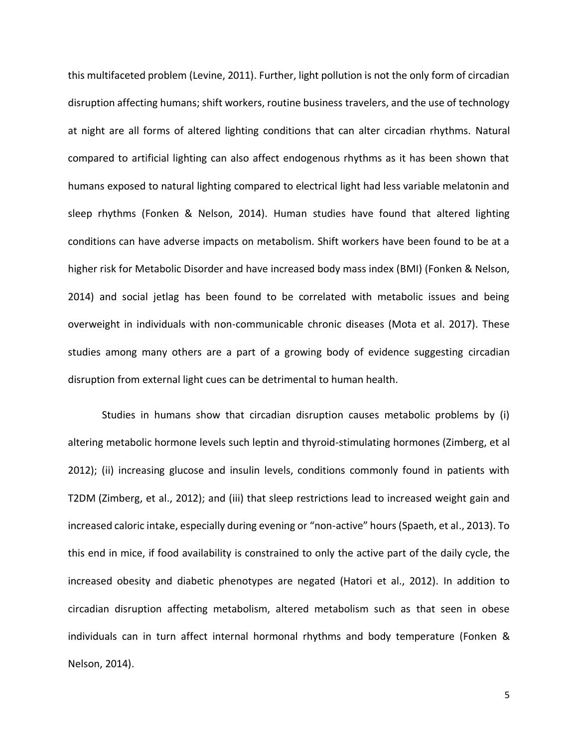this multifaceted problem (Levine, 2011). Further, light pollution is not the only form of circadian disruption affecting humans; shift workers, routine business travelers, and the use of technology at night are all forms of altered lighting conditions that can alter circadian rhythms. Natural compared to artificial lighting can also affect endogenous rhythms as it has been shown that humans exposed to natural lighting compared to electrical light had less variable melatonin and sleep rhythms (Fonken & Nelson, 2014). Human studies have found that altered lighting conditions can have adverse impacts on metabolism. Shift workers have been found to be at a higher risk for Metabolic Disorder and have increased body mass index (BMI) (Fonken & Nelson, 2014) and social jetlag has been found to be correlated with metabolic issues and being overweight in individuals with non-communicable chronic diseases (Mota et al. 2017). These studies among many others are a part of a growing body of evidence suggesting circadian disruption from external light cues can be detrimental to human health.

Studies in humans show that circadian disruption causes metabolic problems by (i) altering metabolic hormone levels such leptin and thyroid-stimulating hormones (Zimberg, et al 2012); (ii) increasing glucose and insulin levels, conditions commonly found in patients with T2DM (Zimberg, et al., 2012); and (iii) that sleep restrictions lead to increased weight gain and increased caloric intake, especially during evening or "non-active" hours (Spaeth, et al., 2013). To this end in mice, if food availability is constrained to only the active part of the daily cycle, the increased obesity and diabetic phenotypes are negated (Hatori et al., 2012). In addition to circadian disruption affecting metabolism, altered metabolism such as that seen in obese individuals can in turn affect internal hormonal rhythms and body temperature (Fonken & Nelson, 2014).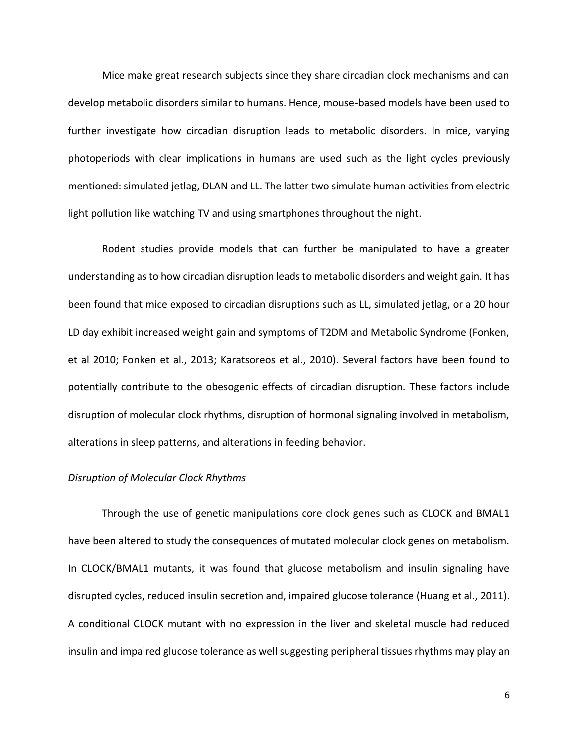Mice make great research subjects since they share circadian clock mechanisms and can develop metabolic disorders similar to humans. Hence, mouse-based models have been used to further investigate how circadian disruption leads to metabolic disorders. In mice, varying photoperiods with clear implications in humans are used such as the light cycles previously mentioned: simulated jetlag, DLAN and LL. The latter two simulate human activities from electric light pollution like watching TV and using smartphones throughout the night.

Rodent studies provide models that can further be manipulated to have a greater understanding as to how circadian disruption leads to metabolic disorders and weight gain. It has been found that mice exposed to circadian disruptions such as LL, simulated jetlag, or a 20 hour LD day exhibit increased weight gain and symptoms of T2DM and Metabolic Syndrome (Fonken, et al 2010; Fonken et al., 2013; Karatsoreos et al., 2010). Several factors have been found to potentially contribute to the obesogenic effects of circadian disruption. These factors include disruption of molecular clock rhythms, disruption of hormonal signaling involved in metabolism, alterations in sleep patterns, and alterations in feeding behavior.

#### *Disruption of Molecular Clock Rhythms*

Through the use of genetic manipulations core clock genes such as CLOCK and BMAL1 have been altered to study the consequences of mutated molecular clock genes on metabolism. In CLOCK/BMAL1 mutants, it was found that glucose metabolism and insulin signaling have disrupted cycles, reduced insulin secretion and, impaired glucose tolerance (Huang et al., 2011). A conditional CLOCK mutant with no expression in the liver and skeletal muscle had reduced insulin and impaired glucose tolerance as well suggesting peripheral tissues rhythms may play an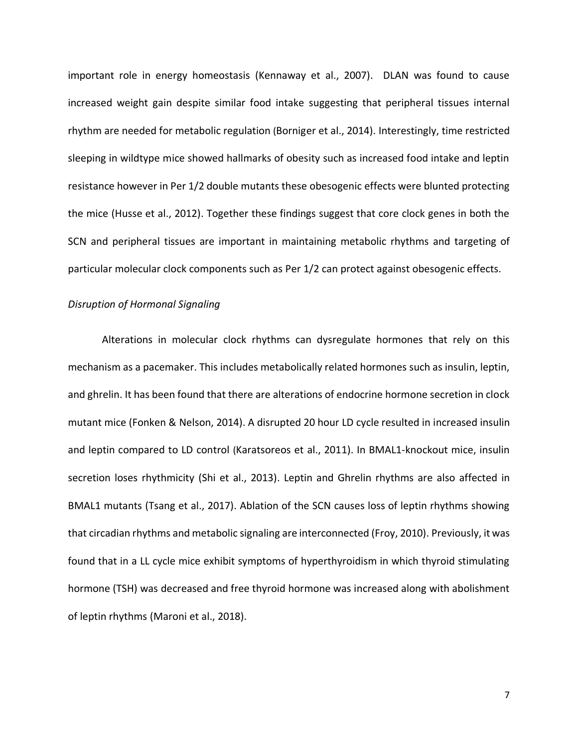important role in energy homeostasis (Kennaway et al., 2007). DLAN was found to cause increased weight gain despite similar food intake suggesting that peripheral tissues internal rhythm are needed for metabolic regulation (Borniger et al., 2014). Interestingly, time restricted sleeping in wildtype mice showed hallmarks of obesity such as increased food intake and leptin resistance however in Per 1/2 double mutants these obesogenic effects were blunted protecting the mice (Husse et al., 2012). Together these findings suggest that core clock genes in both the SCN and peripheral tissues are important in maintaining metabolic rhythms and targeting of particular molecular clock components such as Per 1/2 can protect against obesogenic effects.

#### *Disruption of Hormonal Signaling*

Alterations in molecular clock rhythms can dysregulate hormones that rely on this mechanism as a pacemaker. This includes metabolically related hormones such as insulin, leptin, and ghrelin. It has been found that there are alterations of endocrine hormone secretion in clock mutant mice (Fonken & Nelson, 2014). A disrupted 20 hour LD cycle resulted in increased insulin and leptin compared to LD control (Karatsoreos et al., 2011). In BMAL1-knockout mice, insulin secretion loses rhythmicity (Shi et al., 2013). Leptin and Ghrelin rhythms are also affected in BMAL1 mutants (Tsang et al., 2017). Ablation of the SCN causes loss of leptin rhythms showing that circadian rhythms and metabolic signaling are interconnected (Froy, 2010). Previously, it was found that in a LL cycle mice exhibit symptoms of hyperthyroidism in which thyroid stimulating hormone (TSH) was decreased and free thyroid hormone was increased along with abolishment of leptin rhythms (Maroni et al., 2018).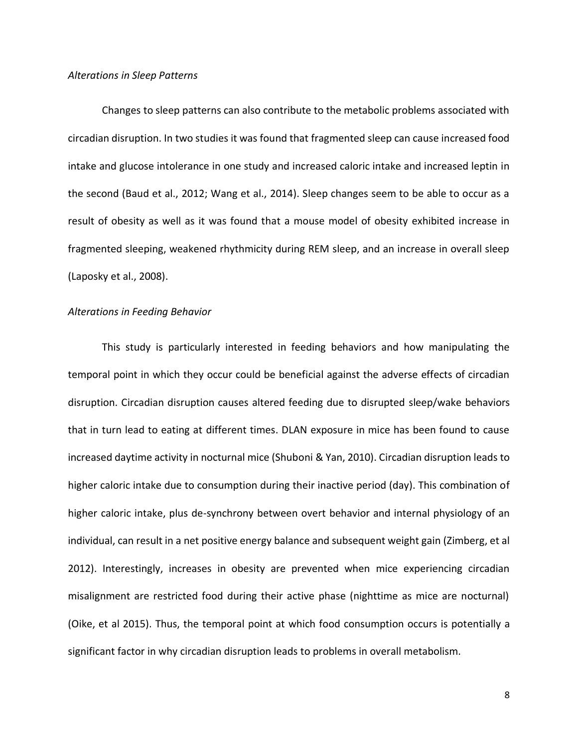#### *Alterations in Sleep Patterns*

Changes to sleep patterns can also contribute to the metabolic problems associated with circadian disruption. In two studies it was found that fragmented sleep can cause increased food intake and glucose intolerance in one study and increased caloric intake and increased leptin in the second (Baud et al., 2012; Wang et al., 2014). Sleep changes seem to be able to occur as a result of obesity as well as it was found that a mouse model of obesity exhibited increase in fragmented sleeping, weakened rhythmicity during REM sleep, and an increase in overall sleep (Laposky et al., 2008).

#### *Alterations in Feeding Behavior*

This study is particularly interested in feeding behaviors and how manipulating the temporal point in which they occur could be beneficial against the adverse effects of circadian disruption. Circadian disruption causes altered feeding due to disrupted sleep/wake behaviors that in turn lead to eating at different times. DLAN exposure in mice has been found to cause increased daytime activity in nocturnal mice (Shuboni & Yan, 2010). Circadian disruption leads to higher caloric intake due to consumption during their inactive period (day). This combination of higher caloric intake, plus de-synchrony between overt behavior and internal physiology of an individual, can result in a net positive energy balance and subsequent weight gain (Zimberg, et al 2012). Interestingly, increases in obesity are prevented when mice experiencing circadian misalignment are restricted food during their active phase (nighttime as mice are nocturnal) (Oike, et al 2015). Thus, the temporal point at which food consumption occurs is potentially a significant factor in why circadian disruption leads to problems in overall metabolism.

8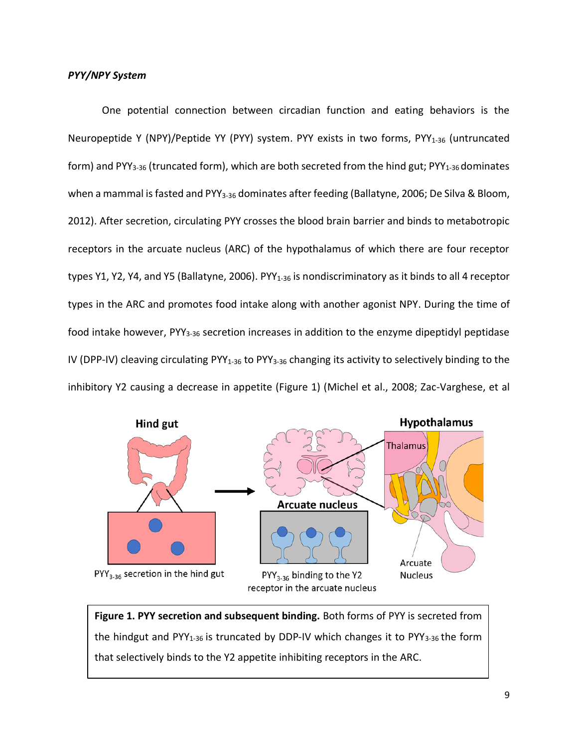One potential connection between circadian function and eating behaviors is the Neuropeptide Y (NPY)/Peptide YY (PYY) system. PYY exists in two forms, PYY<sub>1-36</sub> (untruncated form) and PYY<sub>3-36</sub> (truncated form), which are both secreted from the hind gut; PYY<sub>1-36</sub> dominates when a mammal is fasted and PYY<sub>3-36</sub> dominates after feeding (Ballatyne, 2006; De Silva & Bloom, 2012). After secretion, circulating PYY crosses the blood brain barrier and binds to metabotropic receptors in the arcuate nucleus (ARC) of the hypothalamus of which there are four receptor types Y1, Y2, Y4, and Y5 (Ballatyne, 2006). PYY<sub>1-36</sub> is nondiscriminatory as it binds to all 4 receptor types in the ARC and promotes food intake along with another agonist NPY. During the time of food intake however, PYY<sub>3-36</sub> secretion increases in addition to the enzyme dipeptidyl peptidase IV (DPP-IV) cleaving circulating PYY<sub>1-36</sub> to PYY<sub>3-36</sub> changing its activity to selectively binding to the inhibitory Y2 causing a decrease in appetite (Figure 1) (Michel et al., 2008; Zac-Varghese, et al



**Figure 1. PYY secretion and subsequent binding.** Both forms of PYY is secreted from the hindgut and PYY<sub>1-36</sub> is truncated by DDP-IV which changes it to PYY<sub>3-36</sub> the form that selectively binds to the Y2 appetite inhibiting receptors in the ARC.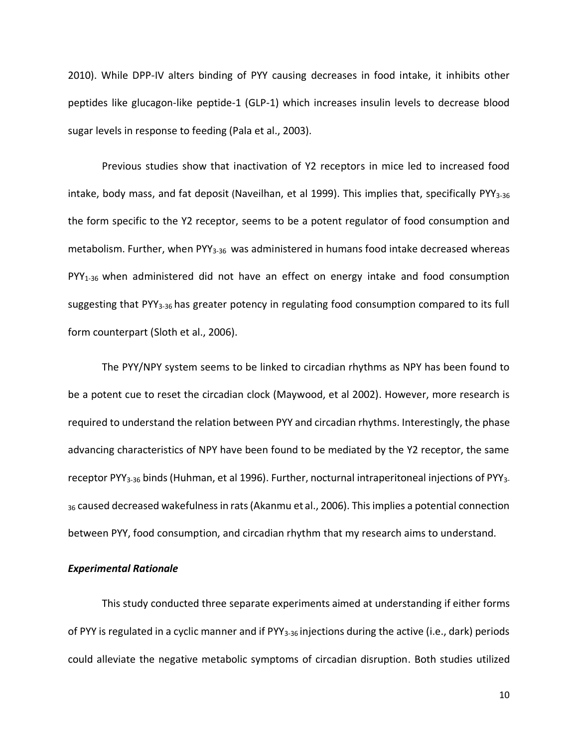2010). While DPP-IV alters binding of PYY causing decreases in food intake, it inhibits other peptides like glucagon-like peptide-1 (GLP-1) which increases insulin levels to decrease blood sugar levels in response to feeding (Pala et al., 2003).

Previous studies show that inactivation of Y2 receptors in mice led to increased food intake, body mass, and fat deposit (Naveilhan, et al 1999). This implies that, specifically PYY<sub>3-36</sub> the form specific to the Y2 receptor, seems to be a potent regulator of food consumption and metabolism. Further, when PYY<sub>3-36</sub> was administered in humans food intake decreased whereas PYY<sub>1-36</sub> when administered did not have an effect on energy intake and food consumption suggesting that PYY3-36 has greater potency in regulating food consumption compared to its full form counterpart (Sloth et al., 2006).

The PYY/NPY system seems to be linked to circadian rhythms as NPY has been found to be a potent cue to reset the circadian clock (Maywood, et al 2002). However, more research is required to understand the relation between PYY and circadian rhythms. Interestingly, the phase advancing characteristics of NPY have been found to be mediated by the Y2 receptor, the same receptor PYY<sub>3-36</sub> binds (Huhman, et al 1996). Further, nocturnal intraperitoneal injections of PYY<sub>3-</sub> <sup>36</sup> caused decreased wakefulness in rats (Akanmu et al., 2006). This implies a potential connection between PYY, food consumption, and circadian rhythm that my research aims to understand.

#### *Experimental Rationale*

This study conducted three separate experiments aimed at understanding if either forms of PYY is regulated in a cyclic manner and if PYY<sub>3-36</sub> injections during the active (i.e., dark) periods could alleviate the negative metabolic symptoms of circadian disruption. Both studies utilized

10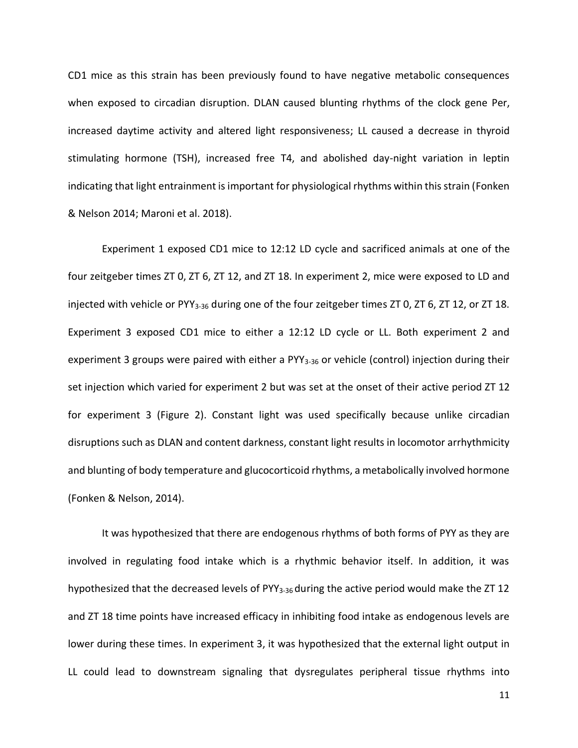CD1 mice as this strain has been previously found to have negative metabolic consequences when exposed to circadian disruption. DLAN caused blunting rhythms of the clock gene Per, increased daytime activity and altered light responsiveness; LL caused a decrease in thyroid stimulating hormone (TSH), increased free T4, and abolished day-night variation in leptin indicating that light entrainment is important for physiological rhythms within this strain (Fonken & Nelson 2014; Maroni et al. 2018).

Experiment 1 exposed CD1 mice to 12:12 LD cycle and sacrificed animals at one of the four zeitgeber times ZT 0, ZT 6, ZT 12, and ZT 18. In experiment 2, mice were exposed to LD and injected with vehicle or PYY<sub>3-36</sub> during one of the four zeitgeber times ZT 0, ZT 6, ZT 12, or ZT 18. Experiment 3 exposed CD1 mice to either a 12:12 LD cycle or LL. Both experiment 2 and experiment 3 groups were paired with either a PYY<sub>3-36</sub> or vehicle (control) injection during their set injection which varied for experiment 2 but was set at the onset of their active period ZT 12 for experiment 3 (Figure 2). Constant light was used specifically because unlike circadian disruptions such as DLAN and content darkness, constant light results in locomotor arrhythmicity and blunting of body temperature and glucocorticoid rhythms, a metabolically involved hormone (Fonken & Nelson, 2014).

It was hypothesized that there are endogenous rhythms of both forms of PYY as they are involved in regulating food intake which is a rhythmic behavior itself. In addition, it was hypothesized that the decreased levels of PYY<sub>3-36</sub> during the active period would make the ZT 12 and ZT 18 time points have increased efficacy in inhibiting food intake as endogenous levels are lower during these times. In experiment 3, it was hypothesized that the external light output in LL could lead to downstream signaling that dysregulates peripheral tissue rhythms into

11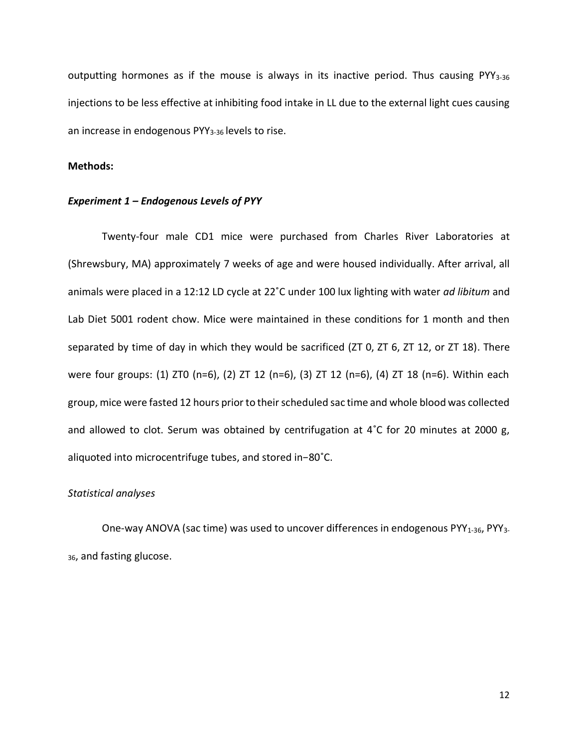outputting hormones as if the mouse is always in its inactive period. Thus causing PYY<sub>3-36</sub> injections to be less effective at inhibiting food intake in LL due to the external light cues causing an increase in endogenous PYY<sub>3-36</sub> levels to rise.

# **Methods:**

#### *Experiment 1 – Endogenous Levels of PYY*

Twenty-four male CD1 mice were purchased from Charles River Laboratories at (Shrewsbury, MA) approximately 7 weeks of age and were housed individually. After arrival, all animals were placed in a 12:12 LD cycle at 22˚C under 100 lux lighting with water *ad libitum* and Lab Diet 5001 rodent chow. Mice were maintained in these conditions for 1 month and then separated by time of day in which they would be sacrificed (ZT 0, ZT 6, ZT 12, or ZT 18). There were four groups: (1) ZT0 (n=6), (2) ZT 12 (n=6), (3) ZT 12 (n=6), (4) ZT 18 (n=6). Within each group, mice were fasted 12 hours prior to their scheduled sac time and whole blood was collected and allowed to clot. Serum was obtained by centrifugation at 4˚C for 20 minutes at 2000 g, aliquoted into microcentrifuge tubes, and stored in−80˚C.

#### *Statistical analyses*

One-way ANOVA (sac time) was used to uncover differences in endogenous PYY<sub>1-36</sub>, PYY<sub>3-</sub> 36, and fasting glucose.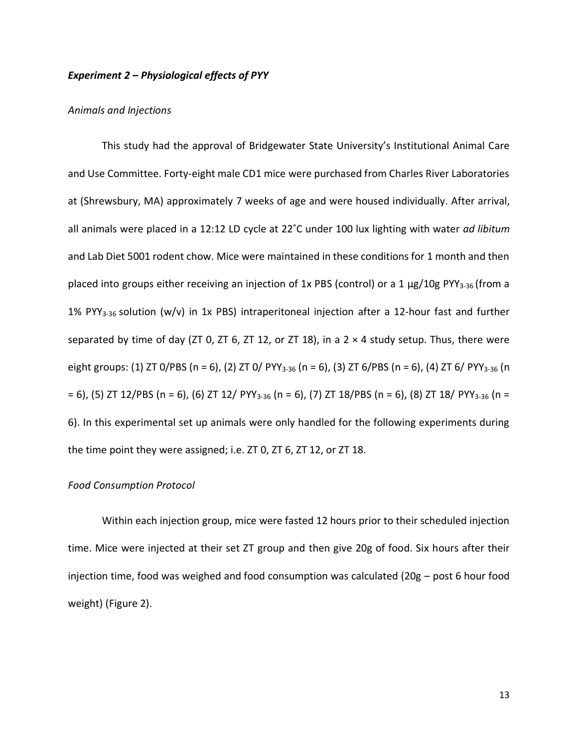# *Experiment 2 – Physiological effects of PYY*

#### *Animals and Injections*

This study had the approval of Bridgewater State University's Institutional Animal Care and Use Committee. Forty-eight male CD1 mice were purchased from Charles River Laboratories at (Shrewsbury, MA) approximately 7 weeks of age and were housed individually. After arrival, all animals were placed in a 12:12 LD cycle at 22˚C under 100 lux lighting with water *ad libitum* and Lab Diet 5001 rodent chow. Mice were maintained in these conditions for 1 month and then placed into groups either receiving an injection of 1x PBS (control) or a 1  $\mu$ g/10g PYY<sub>3-36</sub> (from a 1% PYY<sub>3-36</sub> solution (w/v) in 1x PBS) intraperitoneal injection after a 12-hour fast and further separated by time of day (ZT 0, ZT 6, ZT 12, or ZT 18), in a  $2 \times 4$  study setup. Thus, there were eight groups: (1) ZT 0/PBS (n = 6), (2) ZT 0/ PYY<sub>3-36</sub> (n = 6), (3) ZT 6/PBS (n = 6), (4) ZT 6/ PYY<sub>3-36</sub> (n  $= 6$ ), (5) ZT 12/PBS (n = 6), (6) ZT 12/ PYY<sub>3-36</sub> (n = 6), (7) ZT 18/PBS (n = 6), (8) ZT 18/ PYY<sub>3-36</sub> (n = 6). In this experimental set up animals were only handled for the following experiments during the time point they were assigned; i.e. ZT 0, ZT 6, ZT 12, or ZT 18.

#### *Food Consumption Protocol*

Within each injection group, mice were fasted 12 hours prior to their scheduled injection time. Mice were injected at their set ZT group and then give 20g of food. Six hours after their injection time, food was weighed and food consumption was calculated (20g – post 6 hour food weight) (Figure 2).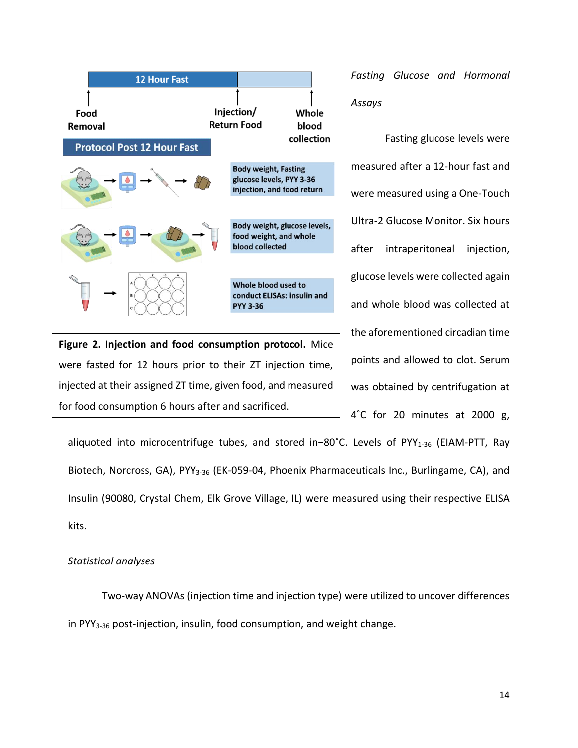

**Figure 2. Injection and food consumption protocol.** Mice were fasted for 12 hours prior to their ZT injection time, injected at their assigned ZT time, given food, and measured for food consumption 6 hours after and sacrificed.

*Fasting Glucose and Hormonal Assays*

Fasting glucose levels were measured after a 12-hour fast and were measured using a One-Touch Ultra-2 Glucose Monitor. Six hours after intraperitoneal injection, glucose levels were collected again and whole blood was collected at the aforementioned circadian time points and allowed to clot. Serum was obtained by centrifugation at 4˚C for 20 minutes at 2000 g,

aliquoted into microcentrifuge tubes, and stored in−80˚C. Levels of PYY1-36 (EIAM-PTT, Ray Biotech, Norcross, GA), PYY<sub>3-36</sub> (EK-059-04, Phoenix Pharmaceuticals Inc., Burlingame, CA), and Insulin (90080, Crystal Chem, Elk Grove Village, IL) were measured using their respective ELISA kits.

# *Statistical analyses*

Two-way ANOVAs (injection time and injection type) were utilized to uncover differences in PYY<sub>3-36</sub> post-injection, insulin, food consumption, and weight change.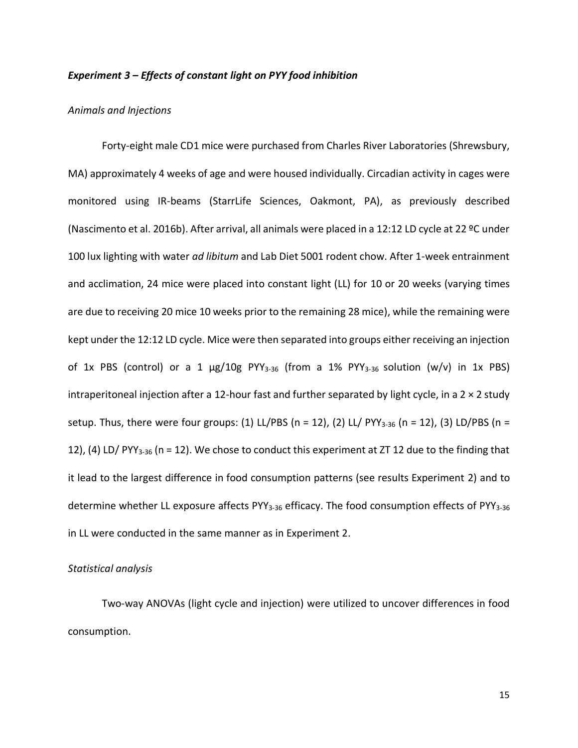# *Experiment 3 – Effects of constant light on PYY food inhibition*

#### *Animals and Injections*

Forty-eight male CD1 mice were purchased from Charles River Laboratories (Shrewsbury, MA) approximately 4 weeks of age and were housed individually. Circadian activity in cages were monitored using IR-beams (StarrLife Sciences, Oakmont, PA), as previously described (Nascimento et al. 2016b). After arrival, all animals were placed in a 12:12 LD cycle at 22 ºC under 100 lux lighting with water *ad libitum* and Lab Diet 5001 rodent chow. After 1-week entrainment and acclimation, 24 mice were placed into constant light (LL) for 10 or 20 weeks (varying times are due to receiving 20 mice 10 weeks prior to the remaining 28 mice), while the remaining were kept under the 12:12 LD cycle. Mice were then separated into groups either receiving an injection of 1x PBS (control) or a 1  $\mu$ g/10g PYY<sub>3-36</sub> (from a 1% PYY<sub>3-36</sub> solution (w/v) in 1x PBS) intraperitoneal injection after a 12-hour fast and further separated by light cycle, in a  $2 \times 2$  study setup. Thus, there were four groups: (1) LL/PBS (n = 12), (2) LL/ PYY<sub>3-36</sub> (n = 12), (3) LD/PBS (n = 12), (4) LD/ PYY<sub>3-36</sub> (n = 12). We chose to conduct this experiment at ZT 12 due to the finding that it lead to the largest difference in food consumption patterns (see results Experiment 2) and to determine whether LL exposure affects PYY<sub>3-36</sub> efficacy. The food consumption effects of PYY<sub>3-36</sub> in LL were conducted in the same manner as in Experiment 2.

#### *Statistical analysis*

Two-way ANOVAs (light cycle and injection) were utilized to uncover differences in food consumption.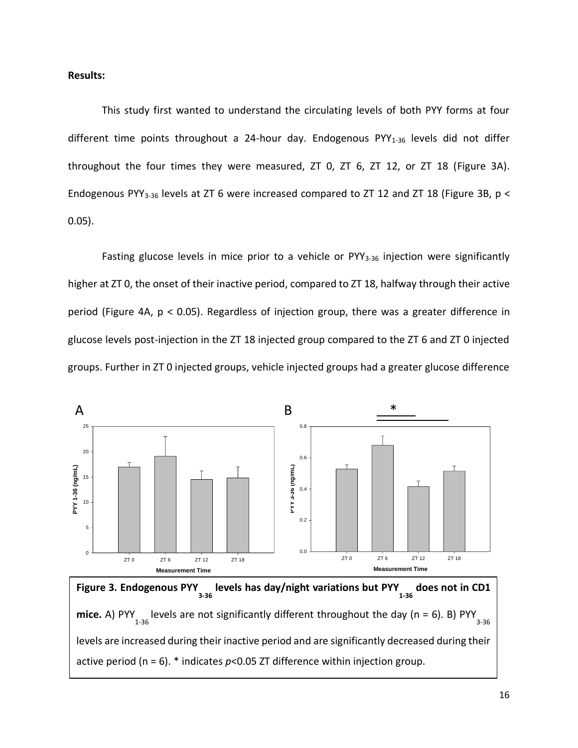# **Results:**

This study first wanted to understand the circulating levels of both PYY forms at four different time points throughout a 24-hour day. Endogenous  $PYY<sub>1-36</sub>$  levels did not differ throughout the four times they were measured, ZT 0, ZT 6, ZT 12, or ZT 18 (Figure 3A). Endogenous PYY<sub>3-36</sub> levels at ZT 6 were increased compared to ZT 12 and ZT 18 (Figure 3B,  $p <$ 0.05).

Fasting glucose levels in mice prior to a vehicle or  $PYY_{3-36}$  injection were significantly higher at ZT 0, the onset of their inactive period, compared to ZT 18, halfway through their active period (Figure 4A, p < 0.05). Regardless of injection group, there was a greater difference in glucose levels post-injection in the ZT 18 injected group compared to the ZT 6 and ZT 0 injected groups. Further in ZT 0 injected groups, vehicle injected groups had a greater glucose difference



Figure 3. Endogenous PYY<sub>3-36</sub> levels has day/night variations but PYY<sub>1-36</sub> does not in CD1 **mice.** A) PYY<sub>1-36</sub> levels are not significantly different throughout the day (n = 6). B) PYY 3-36 levels are increased during their inactive period and are significantly decreased during their active period ( $n = 6$ ).  $*$  indicates  $p < 0.05$  ZT difference within injection group.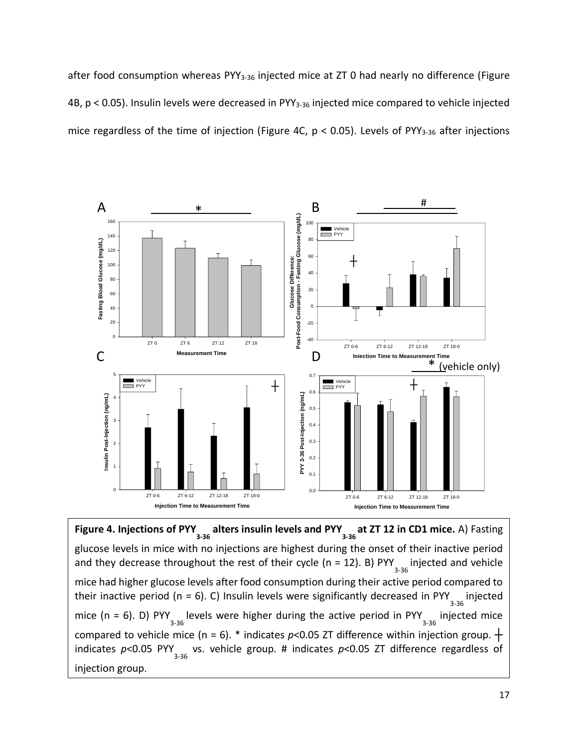after food consumption whereas PYY<sub>3-36</sub> injected mice at ZT 0 had nearly no difference (Figure 4B, p < 0.05). Insulin levels were decreased in PYY<sub>3-36</sub> injected mice compared to vehicle injected mice regardless of the time of injection (Figure 4C,  $p < 0.05$ ). Levels of PYY<sub>3-36</sub> after injections



**Figure 4. Injections of PYY** alters insulin levels and PYY at ZT 12 in CD1 mice. A) Fasting  $\frac{3-36}{2}$ glucose levels in mice with no injections are highest during the onset of their inactive period and they decrease throughout the rest of their cycle (n = 12). B) PYY  $_{3\text{-}36}$  injected and vehicle mice had higher glucose levels after food consumption during their active period compared to their inactive period (n = 6). C) Insulin levels were significantly decreased in PYY  $_{3\text{-}36}$  injected mice (n = 6). D) PYY  $_{3\text{-}36}$  levels were higher during the active period in PYY  $_{3\text{-}36}$  injected mice compared to vehicle mice (n = 6). \* indicates  $p$ <0.05 ZT difference within injection group.  $+$ indicates p<0.05 PYY<sub>3-36</sub> vs. vehicle group. # indicates p<0.05 ZT difference regardless of injection group.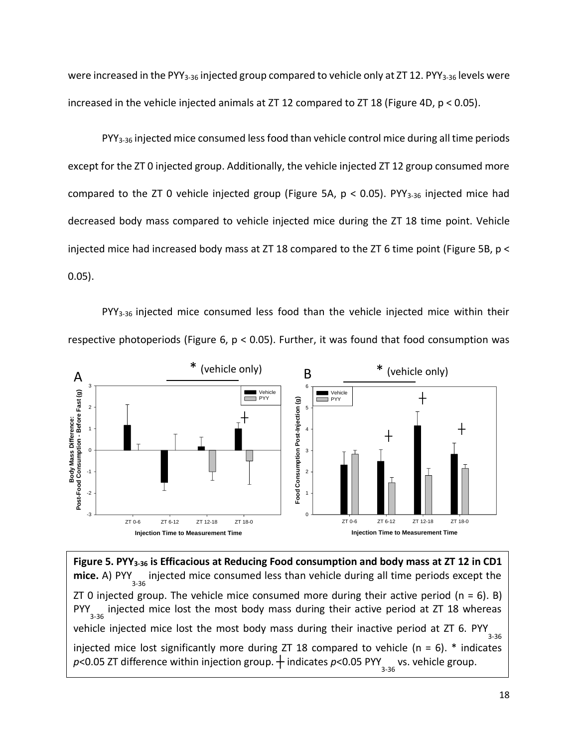were increased in the PYY<sub>3-36</sub> injected group compared to vehicle only at ZT 12. PYY<sub>3-36</sub> levels were increased in the vehicle injected animals at  $ZT$  12 compared to  $ZT$  18 (Figure 4D,  $p < 0.05$ ).

PYY<sub>3-36</sub> injected mice consumed less food than vehicle control mice during all time periods except for the ZT 0 injected group. Additionally, the vehicle injected ZT 12 group consumed more compared to the ZT 0 vehicle injected group (Figure 5A,  $p < 0.05$ ). PYY<sub>3-36</sub> injected mice had decreased body mass compared to vehicle injected mice during the ZT 18 time point. Vehicle injected mice had increased body mass at ZT 18 compared to the ZT 6 time point (Figure 5B, p < 0.05).

PYY<sub>3-36</sub> injected mice consumed less food than the vehicle injected mice within their respective photoperiods (Figure 6,  $p < 0.05$ ). Further, it was found that food consumption was



**Figure 5. PYY3-36 is Efficacious at Reducing Food consumption and body mass at ZT 12 in CD1**  mice. A) PYY<sub>3-36</sub> injected mice consumed less than vehicle during all time periods except the ZT 0 injected group. The vehicle mice consumed more during their active period ( $n = 6$ ). B) PYY<sub>3-36</sub> injected mice lost the most body mass during their active period at ZT 18 whereas vehicle injected mice lost the most body mass during their inactive period at ZT 6. PYY  $_{3\text{-}36}$ injected mice lost significantly more during ZT 18 compared to vehicle ( $n = 6$ ).  $*$  indicates *p*<0.05 ZT difference within injection group. † indicates *p*<0.05 PYY <sub>3-36</sub> vs. vehicle group.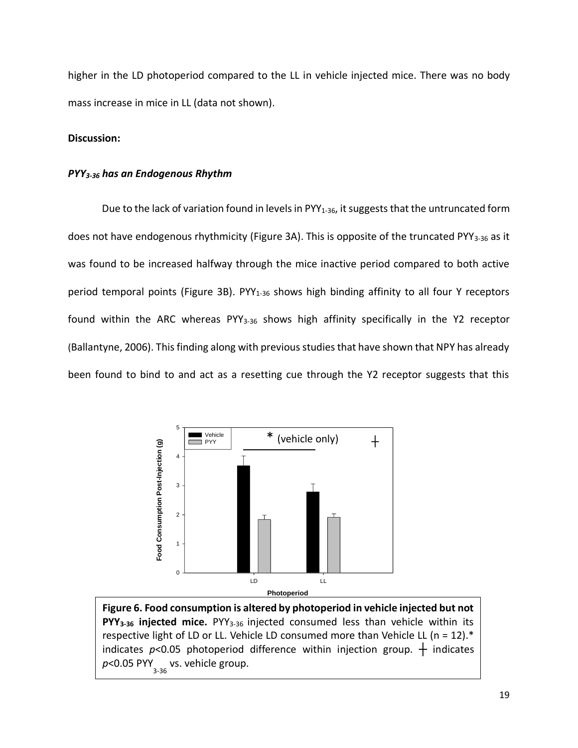higher in the LD photoperiod compared to the LL in vehicle injected mice. There was no body mass increase in mice in LL (data not shown).

# **Discussion:**

# *PYY3-36 has an Endogenous Rhythm*

Due to the lack of variation found in levels in  $PYY_{1-36}$ , it suggests that the untruncated form does not have endogenous rhythmicity (Figure 3A). This is opposite of the truncated PYY<sub>3-36</sub> as it was found to be increased halfway through the mice inactive period compared to both active period temporal points (Figure 3B). PYY<sub>1-36</sub> shows high binding affinity to all four Y receptors found within the ARC whereas PYY<sub>3-36</sub> shows high affinity specifically in the Y2 receptor (Ballantyne, 2006). This finding along with previous studies that have shown that NPY has already been found to bind to and act as a resetting cue through the Y2 receptor suggests that this



**Figure 6. Food consumption is altered by photoperiod in vehicle injected but not PYY3-36 injected mice.** PYY3-36 injected consumed less than vehicle within its respective light of LD or LL. Vehicle LD consumed more than Vehicle LL (n = 12). $*$ indicates  $p$ <0.05 photoperiod difference within injection group.  $+$  indicates p<0.05 PYY vs. vehicle group.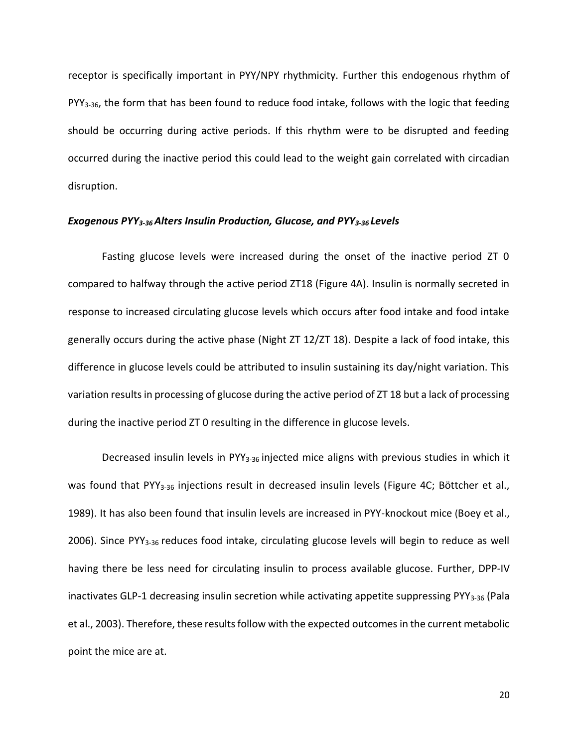receptor is specifically important in PYY/NPY rhythmicity. Further this endogenous rhythm of PYY3-36, the form that has been found to reduce food intake, follows with the logic that feeding should be occurring during active periods. If this rhythm were to be disrupted and feeding occurred during the inactive period this could lead to the weight gain correlated with circadian disruption.

#### *Exogenous PYY3-36 Alters Insulin Production, Glucose, and PYY3-36 Levels*

Fasting glucose levels were increased during the onset of the inactive period ZT 0 compared to halfway through the active period ZT18 (Figure 4A). Insulin is normally secreted in response to increased circulating glucose levels which occurs after food intake and food intake generally occurs during the active phase (Night ZT 12/ZT 18). Despite a lack of food intake, this difference in glucose levels could be attributed to insulin sustaining its day/night variation. This variation results in processing of glucose during the active period of ZT 18 but a lack of processing during the inactive period ZT 0 resulting in the difference in glucose levels.

Decreased insulin levels in PYY<sub>3-36</sub> injected mice aligns with previous studies in which it was found that PYY<sub>3-36</sub> injections result in decreased insulin levels (Figure 4C; Böttcher et al., 1989). It has also been found that insulin levels are increased in PYY-knockout mice (Boey et al., 2006). Since PYY3-36 reduces food intake, circulating glucose levels will begin to reduce as well having there be less need for circulating insulin to process available glucose. Further, DPP-IV inactivates GLP-1 decreasing insulin secretion while activating appetite suppressing PYY<sub>3-36</sub> (Pala et al., 2003). Therefore, these results follow with the expected outcomes in the current metabolic point the mice are at.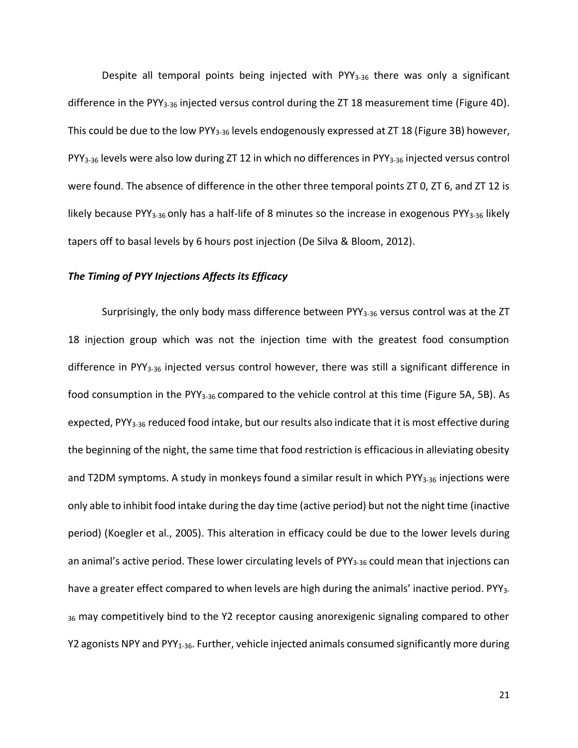Despite all temporal points being injected with  $PYY_{3-36}$  there was only a significant difference in the PYY3-36 injected versus control during the ZT 18 measurement time (Figure 4D). This could be due to the low PYY<sub>3-36</sub> levels endogenously expressed at ZT 18 (Figure 3B) however, PYY<sub>3-36</sub> levels were also low during ZT 12 in which no differences in PYY<sub>3-36</sub> injected versus control were found. The absence of difference in the other three temporal points ZT 0, ZT 6, and ZT 12 is likely because PYY<sub>3-36</sub> only has a half-life of 8 minutes so the increase in exogenous PYY<sub>3-36</sub> likely tapers off to basal levels by 6 hours post injection (De Silva & Bloom, 2012).

# *The Timing of PYY Injections Affects its Efficacy*

Surprisingly, the only body mass difference between PYY<sub>3-36</sub> versus control was at the ZT 18 injection group which was not the injection time with the greatest food consumption difference in PYY<sub>3-36</sub> injected versus control however, there was still a significant difference in food consumption in the PYY<sub>3-36</sub> compared to the vehicle control at this time (Figure 5A, 5B). As expected, PYY<sub>3-36</sub> reduced food intake, but our results also indicate that it is most effective during the beginning of the night, the same time that food restriction is efficacious in alleviating obesity and T2DM symptoms. A study in monkeys found a similar result in which PYY<sub>3-36</sub> injections were only able to inhibit food intake during the day time (active period) but not the night time (inactive period) (Koegler et al., 2005). This alteration in efficacy could be due to the lower levels during an animal's active period. These lower circulating levels of PYY<sub>3-36</sub> could mean that injections can have a greater effect compared to when levels are high during the animals' inactive period. PYY<sub>3-</sub> 36 may competitively bind to the Y2 receptor causing anorexigenic signaling compared to other Y2 agonists NPY and PYY<sub>1-36</sub>. Further, vehicle injected animals consumed significantly more during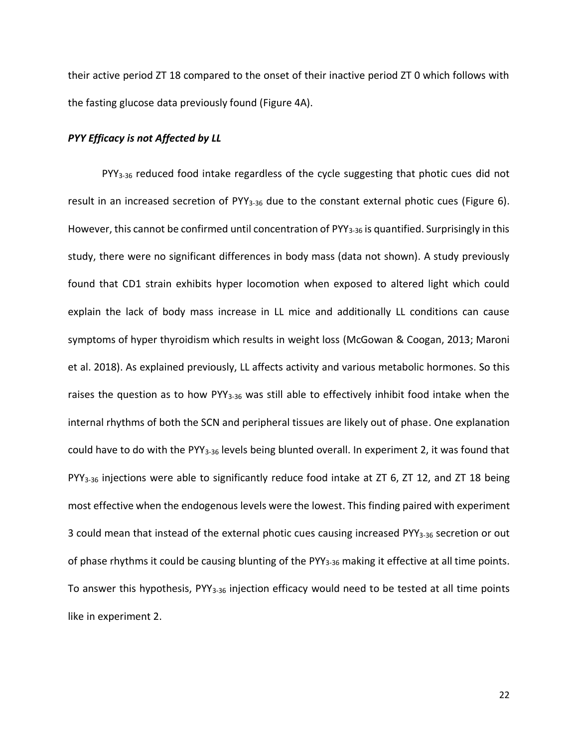their active period ZT 18 compared to the onset of their inactive period ZT 0 which follows with the fasting glucose data previously found (Figure 4A).

# *PYY Efficacy is not Affected by LL*

PYY<sub>3-36</sub> reduced food intake regardless of the cycle suggesting that photic cues did not result in an increased secretion of  $PYY_{3-36}$  due to the constant external photic cues (Figure 6). However, this cannot be confirmed until concentration of PYY<sub>3-36</sub> is quantified. Surprisingly in this study, there were no significant differences in body mass (data not shown). A study previously found that CD1 strain exhibits hyper locomotion when exposed to altered light which could explain the lack of body mass increase in LL mice and additionally LL conditions can cause symptoms of hyper thyroidism which results in weight loss (McGowan & Coogan, 2013; Maroni et al. 2018). As explained previously, LL affects activity and various metabolic hormones. So this raises the question as to how PYY<sub>3-36</sub> was still able to effectively inhibit food intake when the internal rhythms of both the SCN and peripheral tissues are likely out of phase. One explanation could have to do with the PYY<sub>3-36</sub> levels being blunted overall. In experiment 2, it was found that PYY3-36 injections were able to significantly reduce food intake at ZT 6, ZT 12, and ZT 18 being most effective when the endogenous levels were the lowest. This finding paired with experiment 3 could mean that instead of the external photic cues causing increased PYY<sub>3-36</sub> secretion or out of phase rhythms it could be causing blunting of the PYY<sub>3-36</sub> making it effective at all time points. To answer this hypothesis, PYY<sub>3-36</sub> injection efficacy would need to be tested at all time points like in experiment 2.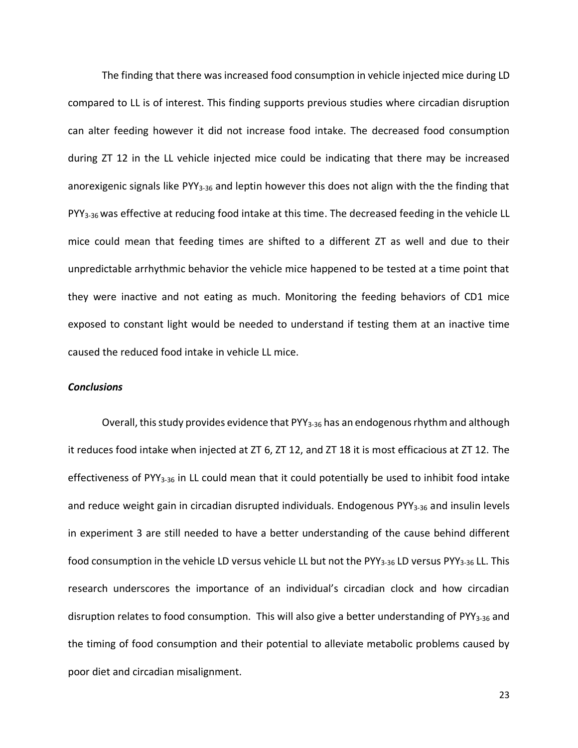The finding that there was increased food consumption in vehicle injected mice during LD compared to LL is of interest. This finding supports previous studies where circadian disruption can alter feeding however it did not increase food intake. The decreased food consumption during ZT 12 in the LL vehicle injected mice could be indicating that there may be increased anorexigenic signals like PYY3-36 and leptin however this does not align with the the finding that PYY<sub>3-36</sub> was effective at reducing food intake at this time. The decreased feeding in the vehicle LL mice could mean that feeding times are shifted to a different ZT as well and due to their unpredictable arrhythmic behavior the vehicle mice happened to be tested at a time point that they were inactive and not eating as much. Monitoring the feeding behaviors of CD1 mice exposed to constant light would be needed to understand if testing them at an inactive time caused the reduced food intake in vehicle LL mice.

# *Conclusions*

Overall, this study provides evidence that PYY<sub>3-36</sub> has an endogenous rhythm and although it reduces food intake when injected at ZT 6, ZT 12, and ZT 18 it is most efficacious at ZT 12. The effectiveness of PYY3-36 in LL could mean that it could potentially be used to inhibit food intake and reduce weight gain in circadian disrupted individuals. Endogenous PYY<sub>3-36</sub> and insulin levels in experiment 3 are still needed to have a better understanding of the cause behind different food consumption in the vehicle LD versus vehicle LL but not the PYY<sub>3-36</sub> LD versus PYY<sub>3-36</sub> LL. This research underscores the importance of an individual's circadian clock and how circadian disruption relates to food consumption. This will also give a better understanding of PYY3-36 and the timing of food consumption and their potential to alleviate metabolic problems caused by poor diet and circadian misalignment.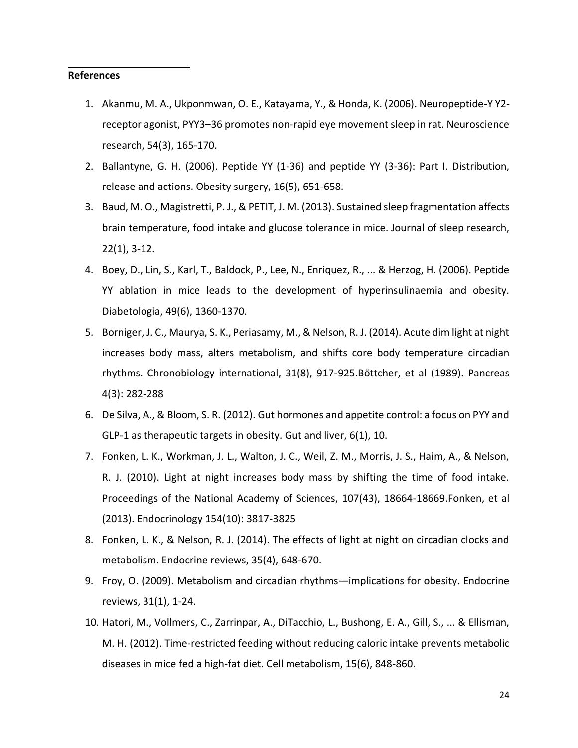# **References**

- 1. Akanmu, M. A., Ukponmwan, O. E., Katayama, Y., & Honda, K. (2006). Neuropeptide-Y Y2 receptor agonist, PYY3–36 promotes non-rapid eye movement sleep in rat. Neuroscience research, 54(3), 165-170.
- 2. Ballantyne, G. H. (2006). Peptide YY (1-36) and peptide YY (3-36): Part I. Distribution, release and actions. Obesity surgery, 16(5), 651-658.
- 3. Baud, M. O., Magistretti, P. J., & PETIT, J. M. (2013). Sustained sleep fragmentation affects brain temperature, food intake and glucose tolerance in mice. Journal of sleep research, 22(1), 3-12.
- 4. Boey, D., Lin, S., Karl, T., Baldock, P., Lee, N., Enriquez, R., ... & Herzog, H. (2006). Peptide YY ablation in mice leads to the development of hyperinsulinaemia and obesity. Diabetologia, 49(6), 1360-1370.
- 5. Borniger, J. C., Maurya, S. K., Periasamy, M., & Nelson, R. J. (2014). Acute dim light at night increases body mass, alters metabolism, and shifts core body temperature circadian rhythms. Chronobiology international, 31(8), 917-925.Böttcher, et al (1989). Pancreas 4(3): 282-288
- 6. De Silva, A., & Bloom, S. R. (2012). Gut hormones and appetite control: a focus on PYY and GLP-1 as therapeutic targets in obesity. Gut and liver, 6(1), 10.
- 7. Fonken, L. K., Workman, J. L., Walton, J. C., Weil, Z. M., Morris, J. S., Haim, A., & Nelson, R. J. (2010). Light at night increases body mass by shifting the time of food intake. Proceedings of the National Academy of Sciences, 107(43), 18664-18669.Fonken, et al (2013). Endocrinology 154(10): 3817-3825
- 8. Fonken, L. K., & Nelson, R. J. (2014). The effects of light at night on circadian clocks and metabolism. Endocrine reviews, 35(4), 648-670.
- 9. Froy, O. (2009). Metabolism and circadian rhythms—implications for obesity. Endocrine reviews, 31(1), 1-24.
- 10. Hatori, M., Vollmers, C., Zarrinpar, A., DiTacchio, L., Bushong, E. A., Gill, S., ... & Ellisman, M. H. (2012). Time-restricted feeding without reducing caloric intake prevents metabolic diseases in mice fed a high-fat diet. Cell metabolism, 15(6), 848-860.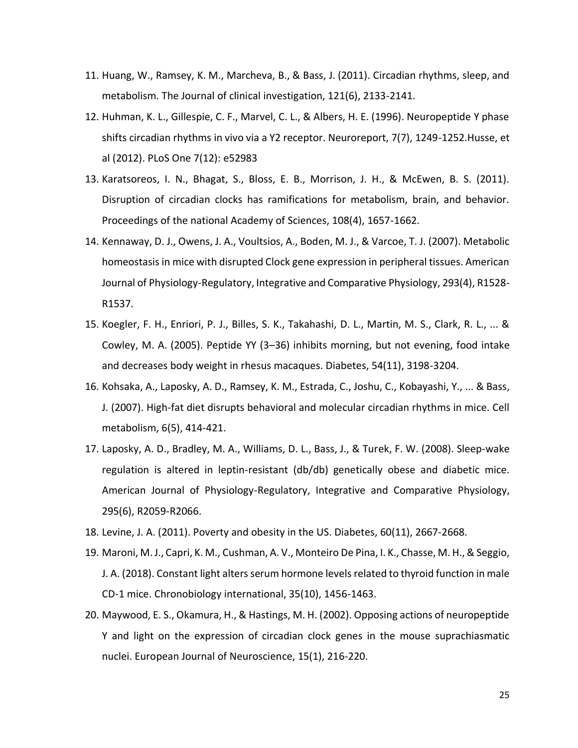- 11. Huang, W., Ramsey, K. M., Marcheva, B., & Bass, J. (2011). Circadian rhythms, sleep, and metabolism. The Journal of clinical investigation, 121(6), 2133-2141.
- 12. Huhman, K. L., Gillespie, C. F., Marvel, C. L., & Albers, H. E. (1996). Neuropeptide Y phase shifts circadian rhythms in vivo via a Y2 receptor. Neuroreport, 7(7), 1249-1252.Husse, et al (2012). PLoS One 7(12): e52983
- 13. Karatsoreos, I. N., Bhagat, S., Bloss, E. B., Morrison, J. H., & McEwen, B. S. (2011). Disruption of circadian clocks has ramifications for metabolism, brain, and behavior. Proceedings of the national Academy of Sciences, 108(4), 1657-1662.
- 14. Kennaway, D. J., Owens, J. A., Voultsios, A., Boden, M. J., & Varcoe, T. J. (2007). Metabolic homeostasis in mice with disrupted Clock gene expression in peripheral tissues. American Journal of Physiology-Regulatory, Integrative and Comparative Physiology, 293(4), R1528- R1537.
- 15. Koegler, F. H., Enriori, P. J., Billes, S. K., Takahashi, D. L., Martin, M. S., Clark, R. L., ... & Cowley, M. A. (2005). Peptide YY (3–36) inhibits morning, but not evening, food intake and decreases body weight in rhesus macaques. Diabetes, 54(11), 3198-3204.
- 16. Kohsaka, A., Laposky, A. D., Ramsey, K. M., Estrada, C., Joshu, C., Kobayashi, Y., ... & Bass, J. (2007). High-fat diet disrupts behavioral and molecular circadian rhythms in mice. Cell metabolism, 6(5), 414-421.
- 17. Laposky, A. D., Bradley, M. A., Williams, D. L., Bass, J., & Turek, F. W. (2008). Sleep-wake regulation is altered in leptin-resistant (db/db) genetically obese and diabetic mice. American Journal of Physiology-Regulatory, Integrative and Comparative Physiology, 295(6), R2059-R2066.
- 18. Levine, J. A. (2011). Poverty and obesity in the US. Diabetes, 60(11), 2667-2668.
- 19. Maroni, M. J., Capri, K. M., Cushman, A. V., Monteiro De Pina, I. K., Chasse, M. H., & Seggio, J. A. (2018). Constant light alters serum hormone levels related to thyroid function in male CD-1 mice. Chronobiology international, 35(10), 1456-1463.
- 20. Maywood, E. S., Okamura, H., & Hastings, M. H. (2002). Opposing actions of neuropeptide Y and light on the expression of circadian clock genes in the mouse suprachiasmatic nuclei. European Journal of Neuroscience, 15(1), 216-220.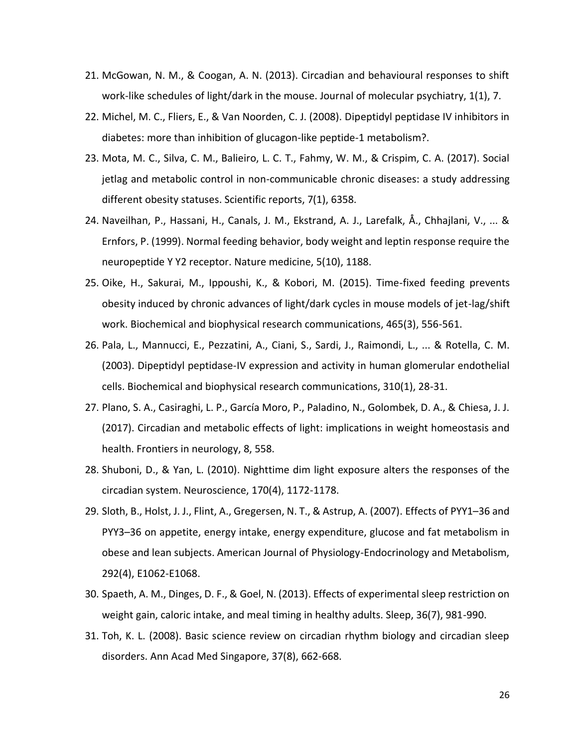- 21. McGowan, N. M., & Coogan, A. N. (2013). Circadian and behavioural responses to shift work-like schedules of light/dark in the mouse. Journal of molecular psychiatry, 1(1), 7.
- 22. Michel, M. C., Fliers, E., & Van Noorden, C. J. (2008). Dipeptidyl peptidase IV inhibitors in diabetes: more than inhibition of glucagon-like peptide-1 metabolism?.
- 23. Mota, M. C., Silva, C. M., Balieiro, L. C. T., Fahmy, W. M., & Crispim, C. A. (2017). Social jetlag and metabolic control in non-communicable chronic diseases: a study addressing different obesity statuses. Scientific reports, 7(1), 6358.
- 24. Naveilhan, P., Hassani, H., Canals, J. M., Ekstrand, A. J., Larefalk, Å., Chhajlani, V., ... & Ernfors, P. (1999). Normal feeding behavior, body weight and leptin response require the neuropeptide Y Y2 receptor. Nature medicine, 5(10), 1188.
- 25. Oike, H., Sakurai, M., Ippoushi, K., & Kobori, M. (2015). Time-fixed feeding prevents obesity induced by chronic advances of light/dark cycles in mouse models of jet-lag/shift work. Biochemical and biophysical research communications, 465(3), 556-561.
- 26. Pala, L., Mannucci, E., Pezzatini, A., Ciani, S., Sardi, J., Raimondi, L., ... & Rotella, C. M. (2003). Dipeptidyl peptidase-IV expression and activity in human glomerular endothelial cells. Biochemical and biophysical research communications, 310(1), 28-31.
- 27. Plano, S. A., Casiraghi, L. P., García Moro, P., Paladino, N., Golombek, D. A., & Chiesa, J. J. (2017). Circadian and metabolic effects of light: implications in weight homeostasis and health. Frontiers in neurology, 8, 558.
- 28. Shuboni, D., & Yan, L. (2010). Nighttime dim light exposure alters the responses of the circadian system. Neuroscience, 170(4), 1172-1178.
- 29. Sloth, B., Holst, J. J., Flint, A., Gregersen, N. T., & Astrup, A. (2007). Effects of PYY1–36 and PYY3–36 on appetite, energy intake, energy expenditure, glucose and fat metabolism in obese and lean subjects. American Journal of Physiology-Endocrinology and Metabolism, 292(4), E1062-E1068.
- 30. Spaeth, A. M., Dinges, D. F., & Goel, N. (2013). Effects of experimental sleep restriction on weight gain, caloric intake, and meal timing in healthy adults. Sleep, 36(7), 981-990.
- 31. Toh, K. L. (2008). Basic science review on circadian rhythm biology and circadian sleep disorders. Ann Acad Med Singapore, 37(8), 662-668.